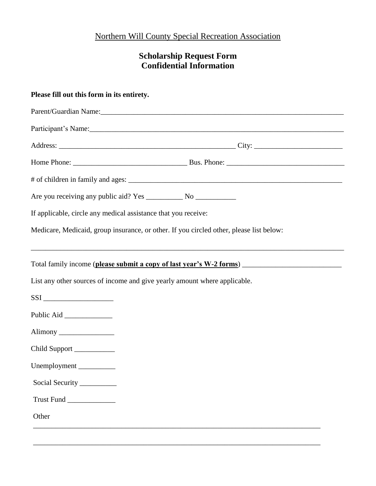## Northern Will County Special Recreation Association

## **Scholarship Request Form Confidential Information**

| If applicable, circle any medical assistance that you receive:     |                                                                                         |
|--------------------------------------------------------------------|-----------------------------------------------------------------------------------------|
|                                                                    | Medicare, Medicaid, group insurance, or other. If you circled other, please list below: |
|                                                                    |                                                                                         |
|                                                                    | Total family income (please submit a copy of last year's W-2 forms)                     |
|                                                                    | List any other sources of income and give yearly amount where applicable.               |
| $SSI$                                                              |                                                                                         |
|                                                                    |                                                                                         |
|                                                                    |                                                                                         |
|                                                                    |                                                                                         |
|                                                                    |                                                                                         |
|                                                                    |                                                                                         |
| Social Security ________                                           |                                                                                         |
| Alimony<br>Child Support ___________<br>Unemployment<br>Trust Fund |                                                                                         |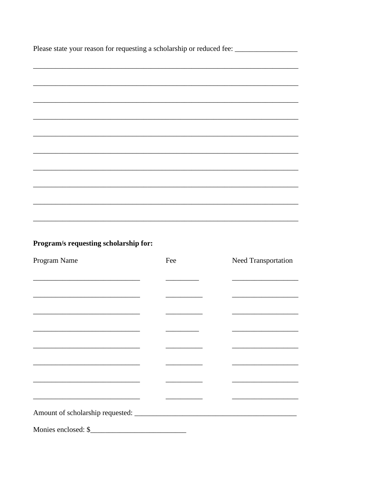Please state your reason for requesting a scholarship or reduced fee: \_\_\_\_\_\_\_\_\_\_\_\_\_\_\_\_\_

## Program/s requesting scholarship for:

| Program Name                                                                              | Fee | Need Transportation                                                        |
|-------------------------------------------------------------------------------------------|-----|----------------------------------------------------------------------------|
|                                                                                           |     |                                                                            |
|                                                                                           |     |                                                                            |
|                                                                                           |     |                                                                            |
|                                                                                           |     |                                                                            |
|                                                                                           |     | the control of the control of the control of the control of the control of |
|                                                                                           |     |                                                                            |
|                                                                                           |     |                                                                            |
|                                                                                           |     |                                                                            |
| the control of the control of the control of the control of the control of the control of |     |                                                                            |
|                                                                                           |     |                                                                            |
|                                                                                           |     |                                                                            |
|                                                                                           |     |                                                                            |